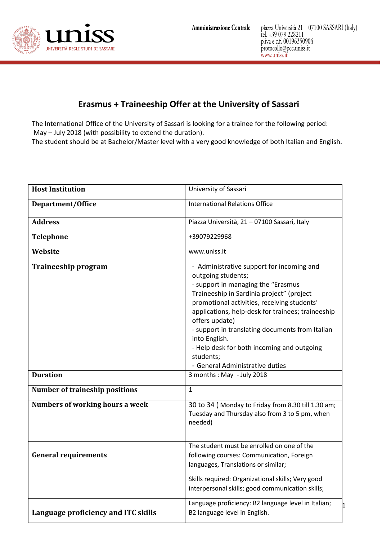

## **Erasmus + Traineeship Offer at the University of Sassari**

The International Office of the University of Sassari is looking for a trainee for the following period: May – July 2018 (with possibility to extend the duration).

The student should be at Bachelor/Master level with a very good knowledge of both Italian and English.

| <b>Host Institution</b>                | University of Sassari                                                                                                                                                                                                                                                                                                                                                                                                                      |
|----------------------------------------|--------------------------------------------------------------------------------------------------------------------------------------------------------------------------------------------------------------------------------------------------------------------------------------------------------------------------------------------------------------------------------------------------------------------------------------------|
| Department/Office                      | <b>International Relations Office</b>                                                                                                                                                                                                                                                                                                                                                                                                      |
| <b>Address</b>                         | Piazza Università, 21 - 07100 Sassari, Italy                                                                                                                                                                                                                                                                                                                                                                                               |
| <b>Telephone</b>                       | +39079229968                                                                                                                                                                                                                                                                                                                                                                                                                               |
| Website                                | www.uniss.it                                                                                                                                                                                                                                                                                                                                                                                                                               |
| Traineeship program                    | - Administrative support for incoming and<br>outgoing students;<br>- support in managing the "Erasmus<br>Traineeship in Sardinia project" (project<br>promotional activities, receiving students'<br>applications, help-desk for trainees; traineeship<br>offers update)<br>- support in translating documents from Italian<br>into English.<br>- Help desk for both incoming and outgoing<br>students;<br>- General Administrative duties |
| <b>Duration</b>                        | 3 months: May - July 2018                                                                                                                                                                                                                                                                                                                                                                                                                  |
| <b>Number of traineship positions</b>  | $\mathbf{1}$                                                                                                                                                                                                                                                                                                                                                                                                                               |
| <b>Numbers of working hours a week</b> | 30 to 34 (Monday to Friday from 8.30 till 1.30 am;<br>Tuesday and Thursday also from 3 to 5 pm, when<br>needed)                                                                                                                                                                                                                                                                                                                            |
| <b>General requirements</b>            | The student must be enrolled on one of the<br>following courses: Communication, Foreign<br>languages, Translations or similar;<br>Skills required: Organizational skills; Very good                                                                                                                                                                                                                                                        |
|                                        | interpersonal skills; good communication skills;<br>Language proficiency: B2 language level in Italian;<br>11                                                                                                                                                                                                                                                                                                                              |
| Language proficiency and ITC skills    | B2 language level in English.                                                                                                                                                                                                                                                                                                                                                                                                              |